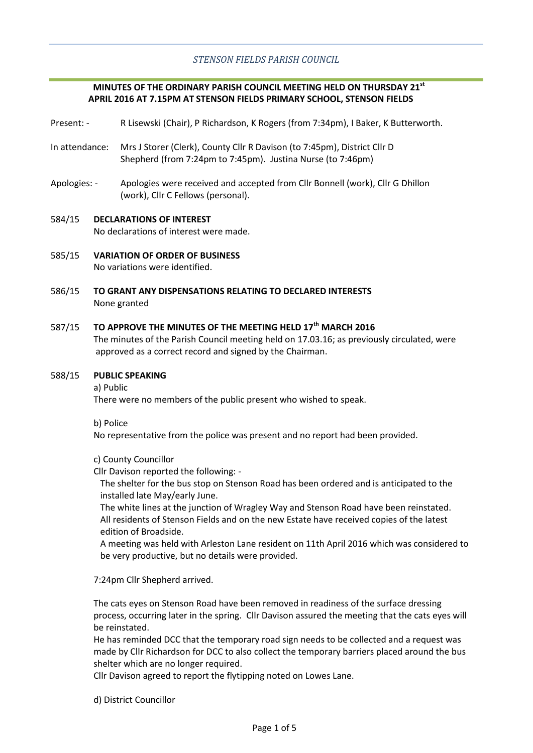# *STENSON FIELDS PARISH COUNCIL*

## **MINUTES OF THE ORDINARY PARISH COUNCIL MEETING HELD ON THURSDAY 21st APRIL 2016 AT 7.15PM AT STENSON FIELDS PRIMARY SCHOOL, STENSON FIELDS**

- Present: R Lisewski (Chair), P Richardson, K Rogers (from 7:34pm), I Baker, K Butterworth.
- In attendance: Mrs J Storer (Clerk), County Cllr R Davison (to 7:45pm), District Cllr D Shepherd (from 7:24pm to 7:45pm). Justina Nurse (to 7:46pm)
- Apologies: Apologies were received and accepted from Cllr Bonnell (work), Cllr G Dhillon (work), Cllr C Fellows (personal).

## 584/15 **DECLARATIONS OF INTEREST**

No declarations of interest were made.

- 585/15 **VARIATION OF ORDER OF BUSINESS** No variations were identified.
- 586/15 **TO GRANT ANY DISPENSATIONS RELATING TO DECLARED INTERESTS** None granted

### 587/15 **TO APPROVE THE MINUTES OF THE MEETING HELD 17th MARCH 2016**

The minutes of the Parish Council meeting held on 17.03.16; as previously circulated, were approved as a correct record and signed by the Chairman.

#### 588/15 **PUBLIC SPEAKING**

a) Public

There were no members of the public present who wished to speak.

b) Police

No representative from the police was present and no report had been provided.

c) County Councillor

Cllr Davison reported the following: -

 The shelter for the bus stop on Stenson Road has been ordered and is anticipated to the installed late May/early June.

 The white lines at the junction of Wragley Way and Stenson Road have been reinstated. All residents of Stenson Fields and on the new Estate have received copies of the latest edition of Broadside.

 A meeting was held with Arleston Lane resident on 11th April 2016 which was considered to be very productive, but no details were provided.

7:24pm Cllr Shepherd arrived.

The cats eyes on Stenson Road have been removed in readiness of the surface dressing process, occurring later in the spring. Cllr Davison assured the meeting that the cats eyes will be reinstated.

He has reminded DCC that the temporary road sign needs to be collected and a request was made by Cllr Richardson for DCC to also collect the temporary barriers placed around the bus shelter which are no longer required.

Cllr Davison agreed to report the flytipping noted on Lowes Lane.

d) District Councillor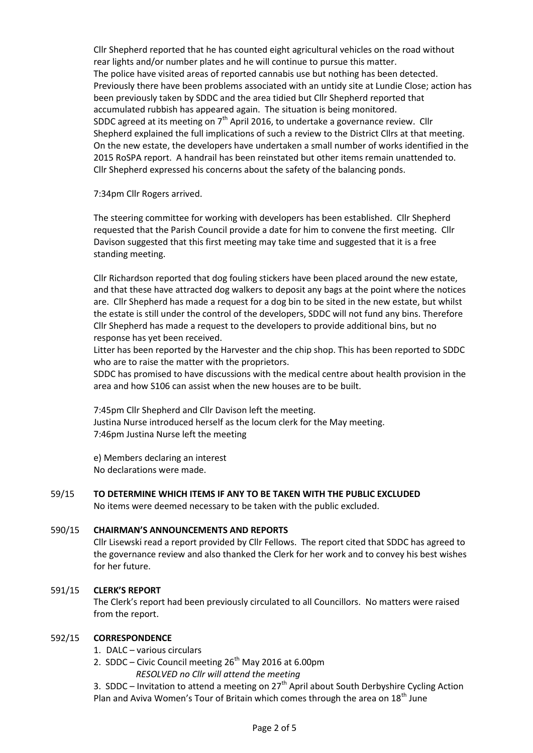Cllr Shepherd reported that he has counted eight agricultural vehicles on the road without rear lights and/or number plates and he will continue to pursue this matter. The police have visited areas of reported cannabis use but nothing has been detected. Previously there have been problems associated with an untidy site at Lundie Close; action has been previously taken by SDDC and the area tidied but Cllr Shepherd reported that accumulated rubbish has appeared again. The situation is being monitored. SDDC agreed at its meeting on  $7<sup>th</sup>$  April 2016, to undertake a governance review. Cllr Shepherd explained the full implications of such a review to the District Cllrs at that meeting. On the new estate, the developers have undertaken a small number of works identified in the 2015 RoSPA report. A handrail has been reinstated but other items remain unattended to. Cllr Shepherd expressed his concerns about the safety of the balancing ponds.

7:34pm Cllr Rogers arrived.

The steering committee for working with developers has been established. Cllr Shepherd requested that the Parish Council provide a date for him to convene the first meeting. Cllr Davison suggested that this first meeting may take time and suggested that it is a free standing meeting.

Cllr Richardson reported that dog fouling stickers have been placed around the new estate, and that these have attracted dog walkers to deposit any bags at the point where the notices are. Cllr Shepherd has made a request for a dog bin to be sited in the new estate, but whilst the estate is still under the control of the developers, SDDC will not fund any bins. Therefore Cllr Shepherd has made a request to the developers to provide additional bins, but no response has yet been received.

Litter has been reported by the Harvester and the chip shop. This has been reported to SDDC who are to raise the matter with the proprietors.

SDDC has promised to have discussions with the medical centre about health provision in the area and how S106 can assist when the new houses are to be built.

7:45pm Cllr Shepherd and Cllr Davison left the meeting. Justina Nurse introduced herself as the locum clerk for the May meeting. 7:46pm Justina Nurse left the meeting

e) Members declaring an interest No declarations were made.

### 59/15 **TO DETERMINE WHICH ITEMS IF ANY TO BE TAKEN WITH THE PUBLIC EXCLUDED**

No items were deemed necessary to be taken with the public excluded.

### 590/15 **CHAIRMAN'S ANNOUNCEMENTS AND REPORTS**

Cllr Lisewski read a report provided by Cllr Fellows. The report cited that SDDC has agreed to the governance review and also thanked the Clerk for her work and to convey his best wishes for her future.

### 591/15 **CLERK'S REPORT**

The Clerk's report had been previously circulated to all Councillors. No matters were raised from the report.

### 592/15 **CORRESPONDENCE**

- 1. DALC various circulars
- 2. SDDC Civic Council meeting  $26<sup>th</sup>$  May 2016 at 6.00pm
	- *RESOLVED no Cllr will attend the meeting*

3. SDDC – Invitation to attend a meeting on  $27<sup>th</sup>$  April about South Derbyshire Cycling Action Plan and Aviva Women's Tour of Britain which comes through the area on 18<sup>th</sup> June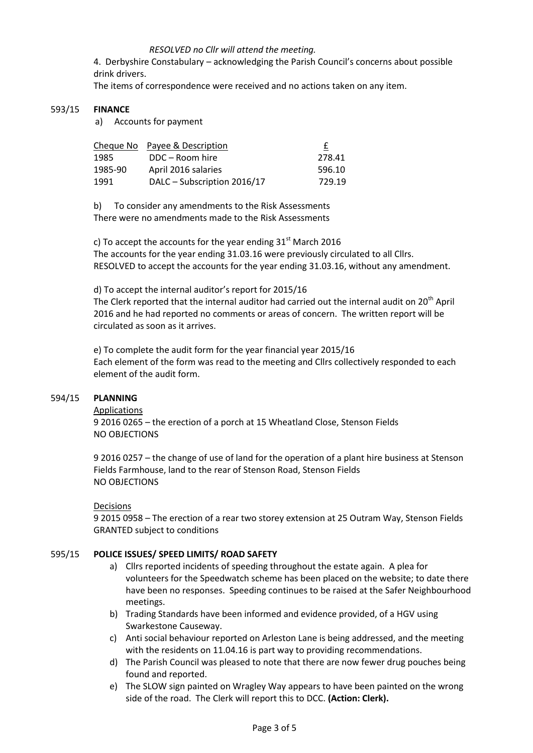## *RESOLVED no Cllr will attend the meeting.*

4. Derbyshire Constabulary – acknowledging the Parish Council's concerns about possible drink drivers.

The items of correspondence were received and no actions taken on any item.

### 593/15 **FINANCE**

a) Accounts for payment

|         | Cheque No Payee & Description | £      |
|---------|-------------------------------|--------|
| 1985    | DDC – Room hire               | 278.41 |
| 1985-90 | April 2016 salaries           | 596.10 |
| 1991    | DALC - Subscription 2016/17   | 729.19 |

b) To consider any amendments to the Risk Assessments There were no amendments made to the Risk Assessments

c) To accept the accounts for the year ending  $31<sup>st</sup>$  March 2016 The accounts for the year ending 31.03.16 were previously circulated to all Cllrs. RESOLVED to accept the accounts for the year ending 31.03.16, without any amendment.

d) To accept the internal auditor's report for 2015/16

The Clerk reported that the internal auditor had carried out the internal audit on 20<sup>th</sup> April 2016 and he had reported no comments or areas of concern. The written report will be circulated as soon as it arrives.

e) To complete the audit form for the year financial year 2015/16 Each element of the form was read to the meeting and Cllrs collectively responded to each element of the audit form.

### 594/15 **PLANNING**

Applications

9 2016 0265 – the erection of a porch at 15 Wheatland Close, Stenson Fields NO OBJECTIONS

9 2016 0257 – the change of use of land for the operation of a plant hire business at Stenson Fields Farmhouse, land to the rear of Stenson Road, Stenson Fields NO OBJECTIONS

## Decisions

9 2015 0958 – The erection of a rear two storey extension at 25 Outram Way, Stenson Fields GRANTED subject to conditions

### 595/15 **POLICE ISSUES/ SPEED LIMITS/ ROAD SAFETY**

- a) Cllrs reported incidents of speeding throughout the estate again. A plea for volunteers for the Speedwatch scheme has been placed on the website; to date there have been no responses. Speeding continues to be raised at the Safer Neighbourhood meetings.
- b) Trading Standards have been informed and evidence provided, of a HGV using Swarkestone Causeway.
- c) Anti social behaviour reported on Arleston Lane is being addressed, and the meeting with the residents on 11.04.16 is part way to providing recommendations.
- d) The Parish Council was pleased to note that there are now fewer drug pouches being found and reported.
- e) The SLOW sign painted on Wragley Way appears to have been painted on the wrong side of the road. The Clerk will report this to DCC. **(Action: Clerk).**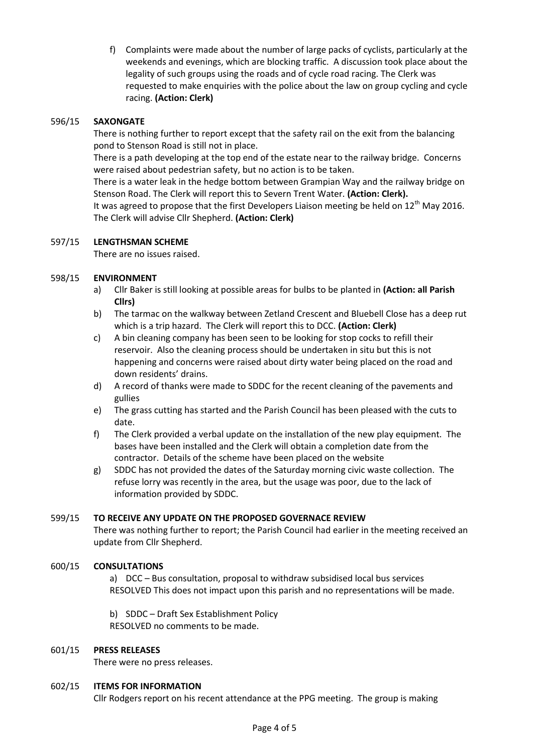f) Complaints were made about the number of large packs of cyclists, particularly at the weekends and evenings, which are blocking traffic. A discussion took place about the legality of such groups using the roads and of cycle road racing. The Clerk was requested to make enquiries with the police about the law on group cycling and cycle racing. **(Action: Clerk)**

### 596/15 **SAXONGATE**

There is nothing further to report except that the safety rail on the exit from the balancing pond to Stenson Road is still not in place.

There is a path developing at the top end of the estate near to the railway bridge. Concerns were raised about pedestrian safety, but no action is to be taken.

There is a water leak in the hedge bottom between Grampian Way and the railway bridge on Stenson Road. The Clerk will report this to Severn Trent Water. **(Action: Clerk).**

It was agreed to propose that the first Developers Liaison meeting be held on  $12<sup>th</sup>$  May 2016. The Clerk will advise Cllr Shepherd. **(Action: Clerk)**

### 597/15 **LENGTHSMAN SCHEME**

There are no issues raised.

### 598/15 **ENVIRONMENT**

- a) Cllr Baker is still looking at possible areas for bulbs to be planted in **(Action: all Parish Cllrs)**
- b) The tarmac on the walkway between Zetland Crescent and Bluebell Close has a deep rut which is a trip hazard. The Clerk will report this to DCC. **(Action: Clerk)**
- c) A bin cleaning company has been seen to be looking for stop cocks to refill their reservoir. Also the cleaning process should be undertaken in situ but this is not happening and concerns were raised about dirty water being placed on the road and down residents' drains.
- d) A record of thanks were made to SDDC for the recent cleaning of the pavements and gullies
- e) The grass cutting has started and the Parish Council has been pleased with the cuts to date.
- f) The Clerk provided a verbal update on the installation of the new play equipment. The bases have been installed and the Clerk will obtain a completion date from the contractor. Details of the scheme have been placed on the website
- g) SDDC has not provided the dates of the Saturday morning civic waste collection. The refuse lorry was recently in the area, but the usage was poor, due to the lack of information provided by SDDC.

### 599/15 **TO RECEIVE ANY UPDATE ON THE PROPOSED GOVERNACE REVIEW**

There was nothing further to report; the Parish Council had earlier in the meeting received an update from Cllr Shepherd.

### 600/15 **CONSULTATIONS**

a) DCC – Bus consultation, proposal to withdraw subsidised local bus services RESOLVED This does not impact upon this parish and no representations will be made.

b) SDDC – Draft Sex Establishment Policy RESOLVED no comments to be made.

### 601/15 **PRESS RELEASES**

There were no press releases.

### 602/15 **ITEMS FOR INFORMATION**

Cllr Rodgers report on his recent attendance at the PPG meeting. The group is making